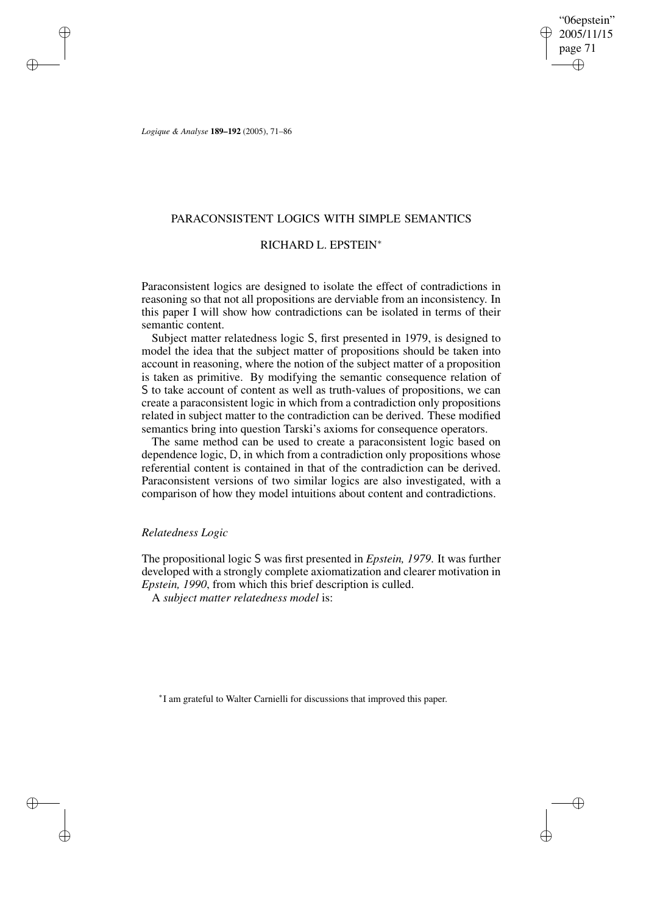"06epstein" 2005/11/15 page 71 ✐ ✐

✐

✐

*Logique & Analyse* **189–192** (2005), 71–86

✐

✐

✐

✐

# PARACONSISTENT LOGICS WITH SIMPLE SEMANTICS

# RICHARD L. EPSTEIN<sup>∗</sup>

Paraconsistent logics are designed to isolate the effect of contradictions in reasoning so that not all propositions are derviable from an inconsistency. In this paper I will show how contradictions can be isolated in terms of their semantic content.

Subject matter relatedness logic S, first presented in 1979, is designed to model the idea that the subject matter of propositions should be taken into account in reasoning, where the notion of the subject matter of a proposition is taken as primitive. By modifying the semantic consequence relation of S to take account of content as well as truth-values of propositions, we can create a paraconsistent logic in which from a contradiction only propositions related in subject matter to the contradiction can be derived. These modified semantics bring into question Tarski's axioms for consequence operators.

The same method can be used to create a paraconsistent logic based on dependence logic, D, in which from a contradiction only propositions whose referential content is contained in that of the contradiction can be derived. Paraconsistent versions of two similar logics are also investigated, with a comparison of how they model intuitions about content and contradictions.

#### *Relatedness Logic*

The propositional logic S was first presented in *Epstein, 1979*. It was further developed with a strongly complete axiomatization and clearer motivation in *Epstein, 1990*, from which this brief description is culled.

A *subject matter relatedness model* is:

∗ I am grateful to Walter Carnielli for discussions that improved this paper.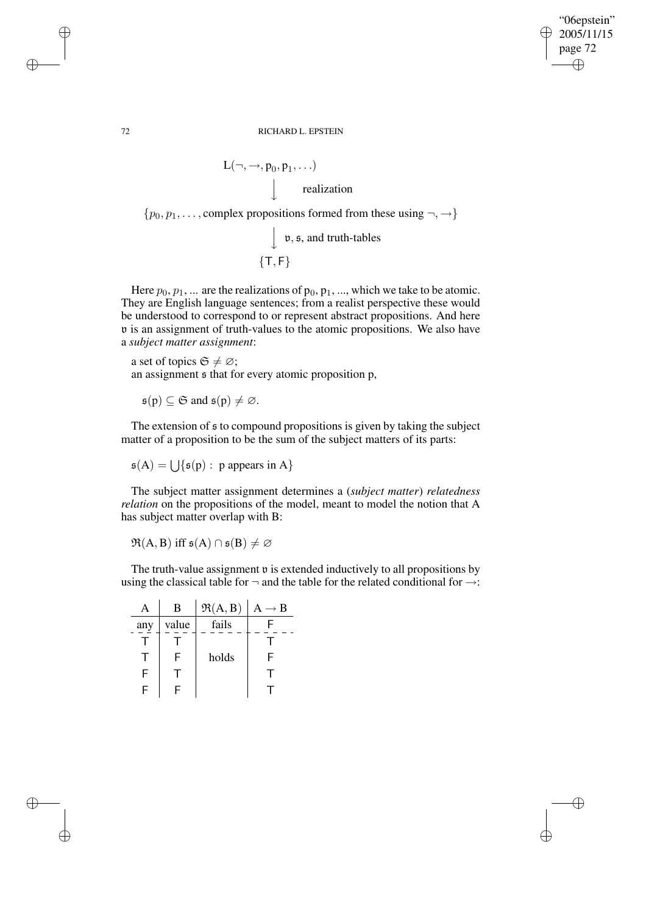✐

✐

72 RICHARD L. EPSTEIN

$$
L(\neg, \rightarrow, p_0, p_1, \ldots)
$$
\n
$$
\downarrow \qquad \text{realization}
$$
\n
$$
\text{complex propositions formed from}
$$

 $\{p_0, p_1, \ldots,$  complex propositions formed from these using  $\neg, \rightarrow\}$ v, s, and truth-tables

 $\downarrow$  $\{T, F\}$ 

Here  $p_0, p_1, \dots$  are the realizations of  $p_0, p_1, \dots$ , which we take to be atomic. They are English language sentences; from a realist perspective these would be understood to correspond to or represent abstract propositions. And here v is an assignment of truth-values to the atomic propositions. We also have a *subject matter assignment*:

a set of topics  $\mathfrak{S} \neq \emptyset$ ; an assignment s that for every atomic proposition p,

 $\mathfrak{s}(p) \subset \mathfrak{S}$  and  $\mathfrak{s}(p) \neq \emptyset$ .

The extension of  $\epsilon$  to compound propositions is given by taking the subject matter of a proposition to be the sum of the subject matters of its parts:

 $\mathfrak{s}(A) = \bigcup \{ \mathfrak{s}(p) : p \text{ appears in } A \}$ 

The subject matter assignment determines a (*subject matter*) *relatedness relation* on the propositions of the model, meant to model the notion that A has subject matter overlap with B:

 $\mathfrak{R}(A, B)$  iff  $\mathfrak{s}(A) \cap \mathfrak{s}(B) \neq \emptyset$ 

The truth-value assignment  $\nu$  is extended inductively to all propositions by using the classical table for  $\neg$  and the table for the related conditional for  $\rightarrow$ :

|     | B     | $\Re(A, B)$ | $A \rightarrow B$ |
|-----|-------|-------------|-------------------|
| any | value | fails       |                   |
|     |       |             |                   |
|     | F     | holds       | F                 |
| F   |       |             |                   |
| F   |       |             |                   |

✐

✐

✐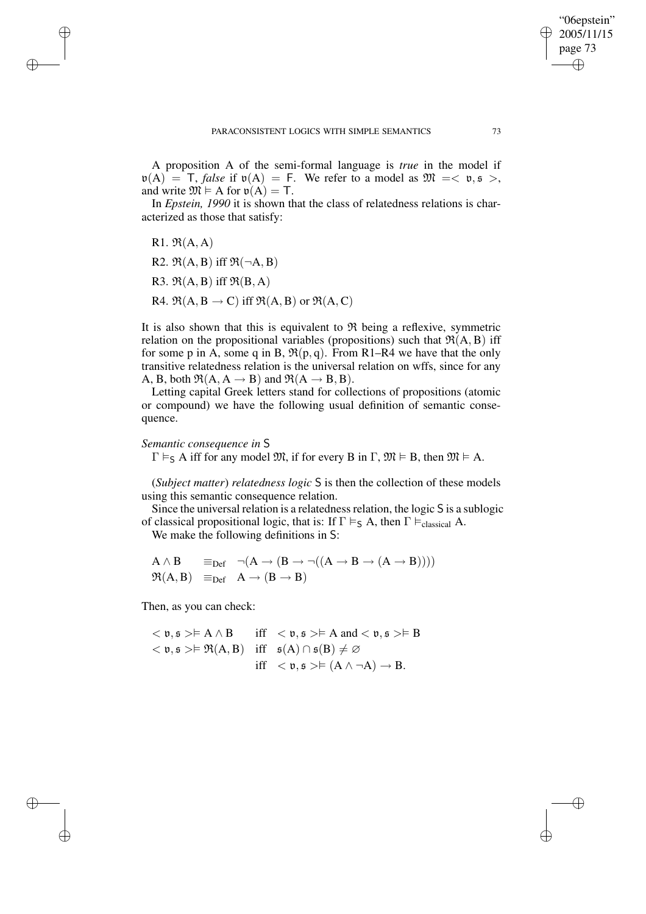A proposition A of the semi-formal language is *true* in the model if  $\nu(A) = T$ , *false* if  $\nu(A) = F$ . We refer to a model as  $\mathfrak{M} = \langle \nu, \nu \rangle$ , and write  $\mathfrak{M} \models A$  for  $\mathfrak{v}(A) = T$ .

In *Epstein, 1990* it is shown that the class of relatedness relations is characterized as those that satisfy:

R<sub>1</sub>.  $\mathfrak{R}(A, A)$ R2.  $\mathfrak{R}(A, B)$  iff  $\mathfrak{R}(\neg A, B)$ R3.  $\mathfrak{R}(A, B)$  iff  $\mathfrak{R}(B, A)$ R4.  $\mathfrak{R}(A, B \to C)$  iff  $\mathfrak{R}(A, B)$  or  $\mathfrak{R}(A, C)$ 

It is also shown that this is equivalent to  $\Re$  being a reflexive, symmetric relation on the propositional variables (propositions) such that  $\mathfrak{R}(A, B)$  iff for some p in A, some q in B,  $\mathfrak{R}(p,q)$ . From R1–R4 we have that the only transitive relatedness relation is the universal relation on wffs, since for any A, B, both  $\mathfrak{R}(A, A \rightarrow B)$  and  $\mathfrak{R}(A \rightarrow B, B)$ .

Letting capital Greek letters stand for collections of propositions (atomic or compound) we have the following usual definition of semantic consequence.

#### *Semantic consequence in* S

✐

✐

✐

✐

 $\Gamma \vDash_{S} A$  iff for any model  $\mathfrak{M}$ , if for every B in  $\Gamma$ ,  $\mathfrak{M} \vDash B$ , then  $\mathfrak{M} \vDash A$ .

(*Subject matter*) *relatedness logic* S is then the collection of these models using this semantic consequence relation.

Since the universal relation is a relatedness relation, the logic S is a sublogic of classical propositional logic, that is: If  $\Gamma \vDash_S A$ , then  $\Gamma \vDash_{\text{classical}} A$ .

We make the following definitions in S:

$$
\begin{array}{ll}\nA \wedge B & \equiv_{Def} \neg(A \rightarrow (B \rightarrow \neg((A \rightarrow B \rightarrow (A \rightarrow B)))) \\
\Re(A, B) & \equiv_{Def} \neg(A \rightarrow (B \rightarrow B)\n\end{array}
$$

Then, as you can check:

 $\langle v, \mathfrak{s} \rangle \models A \land B$  iff  $\langle v, \mathfrak{s} \rangle \models A$  and  $\langle v, \mathfrak{s} \rangle \models B$  $<$  v, s >  $\models \Re(A, B)$  iff  $s(A) \cap s(B) \neq \emptyset$ iff  $\langle \mathfrak{v}, \mathfrak{s} \rangle \models (A \land \neg A) \rightarrow B$ .

"06epstein" 2005/11/15 page 73

✐

✐

✐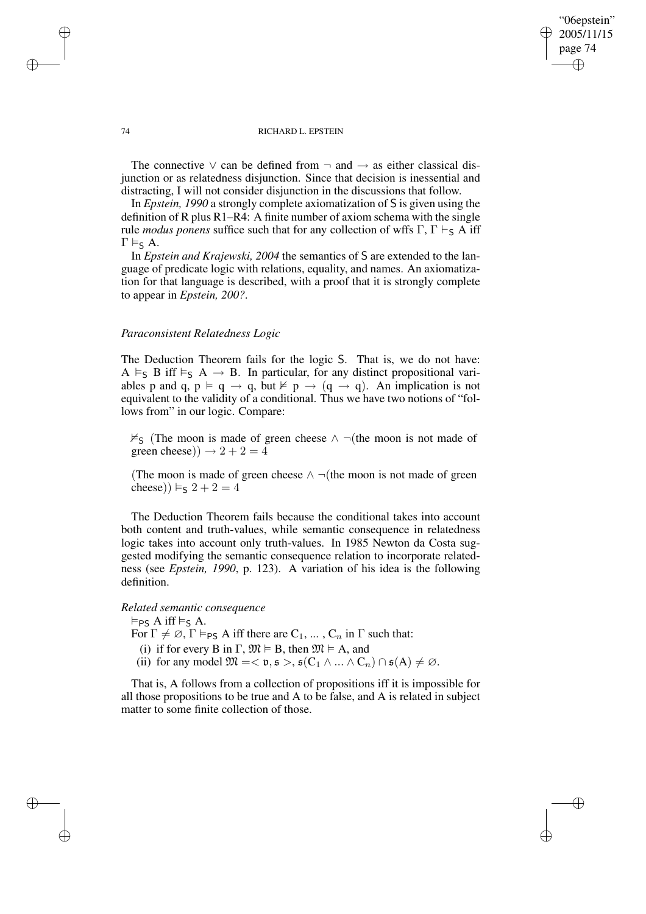✐

✐

#### 74 RICHARD L. EPSTEIN

The connective  $\vee$  can be defined from  $\neg$  and  $\neg$  as either classical disjunction or as relatedness disjunction. Since that decision is inessential and distracting, I will not consider disjunction in the discussions that follow.

In *Epstein, 1990* a strongly complete axiomatization of S is given using the definition of R plus R1–R4: A finite number of axiom schema with the single rule *modus* ponens suffice such that for any collection of wffs  $\Gamma$ ,  $\Gamma \vdash_S A$  iff  $\Gamma \vDash_{S} A$ .

In *Epstein and Krajewski, 2004* the semantics of S are extended to the language of predicate logic with relations, equality, and names. An axiomatization for that language is described, with a proof that it is strongly complete to appear in *Epstein, 200?*.

#### *Paraconsistent Relatedness Logic*

The Deduction Theorem fails for the logic S. That is, we do not have: A  $\vDash_S$  B iff  $\vDash_S$  A  $\to$  B. In particular, for any distinct propositional variables p and q,  $p \models q \rightarrow q$ , but  $\nvdash p \rightarrow (q \rightarrow q)$ . An implication is not equivalent to the validity of a conditional. Thus we have two notions of "follows from" in our logic. Compare:

 $\nvDash$ <sub>S</sub> (The moon is made of green cheese ∧ ¬(the moon is not made of green cheese))  $\rightarrow 2 + 2 = 4$ 

(The moon is made of green cheese  $\land \neg$ (the moon is not made of green cheese))  $\vDash_S 2 + 2 = 4$ 

The Deduction Theorem fails because the conditional takes into account both content and truth-values, while semantic consequence in relatedness logic takes into account only truth-values. In 1985 Newton da Costa suggested modifying the semantic consequence relation to incorporate relatedness (see *Epstein, 1990*, p. 123). A variation of his idea is the following definition.

#### *Related semantic consequence*

 $\vDash_{PS} A$  iff  $\vDash_{S} A$ .

For  $\Gamma \neq \emptyset$ ,  $\Gamma \vDash_{PS} A$  iff there are  $C_1, \ldots, C_n$  in  $\Gamma$  such that:

- (i) if for every B in  $\Gamma$ ,  $\mathfrak{M} \models B$ , then  $\mathfrak{M} \models A$ , and
- (ii) for any model  $\mathfrak{M} = < \mathfrak{v}, \mathfrak{s} >, \mathfrak{s}(C_1 \wedge ... \wedge C_n) \cap \mathfrak{s}(A) \neq \emptyset$ .

That is, A follows from a collection of propositions iff it is impossible for all those propositions to be true and A to be false, and A is related in subject matter to some finite collection of those.

✐

✐

✐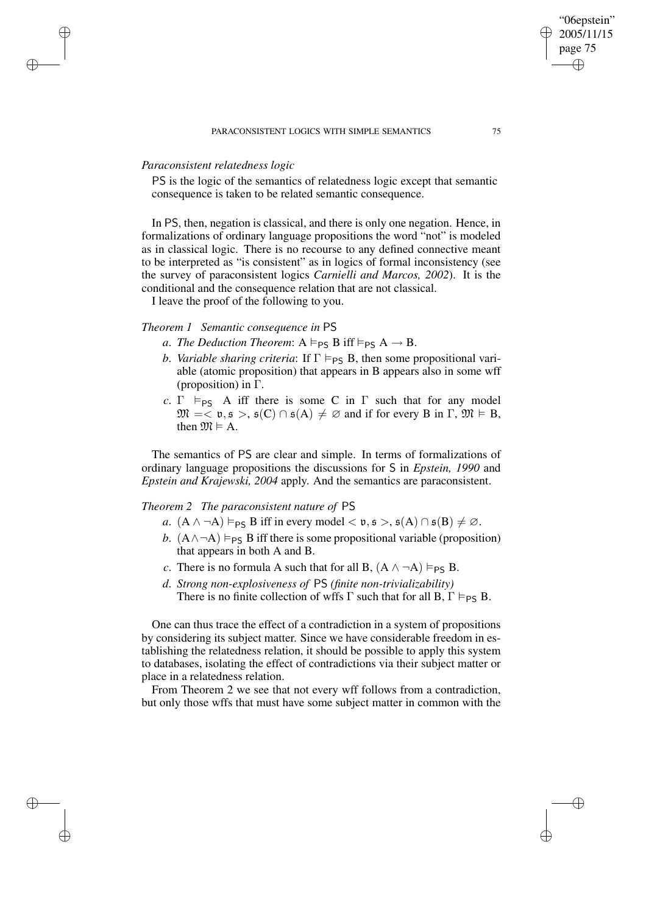#### PARACONSISTENT LOGICS WITH SIMPLE SEMANTICS 75

# *Paraconsistent relatedness logic*

✐

✐

✐

✐

PS is the logic of the semantics of relatedness logic except that semantic consequence is taken to be related semantic consequence.

In PS, then, negation is classical, and there is only one negation. Hence, in formalizations of ordinary language propositions the word "not" is modeled as in classical logic. There is no recourse to any defined connective meant to be interpreted as "is consistent" as in logics of formal inconsistency (see the survey of paraconsistent logics *Carnielli and Marcos, 2002*). It is the conditional and the consequence relation that are not classical.

I leave the proof of the following to you.

# *Theorem 1 Semantic consequence in* PS

- *a*. *The Deduction Theorem*:  $A \models_{PS} B$  iff  $\models_{PS} A \rightarrow B$ .
- *b*. *Variable sharing criteria*: If  $\Gamma \models_{PS} B$ , then some propositional variable (atomic proposition) that appears in B appears also in some wff (proposition) in Γ.
- *c*. Γ  $\models$   $p_S$  A iff there is some C in Γ such that for any model  $\mathfrak{M} = \langle \mathfrak{v}, \mathfrak{s} \rangle, \mathfrak{s}(C) \cap \mathfrak{s}(A) \neq \emptyset$  and if for every B in  $\Gamma, \mathfrak{M} \models B$ , then  $\mathfrak{M} \models A$ .

The semantics of PS are clear and simple. In terms of formalizations of ordinary language propositions the discussions for S in *Epstein, 1990* and *Epstein and Krajewski, 2004* apply. And the semantics are paraconsistent.

# *Theorem 2 The paraconsistent nature of* PS

- *a*.  $(A \land \neg A) \vDash_{PS} B$  iff in every model  $\langle v, \mathfrak{s} \rangle$ ,  $\mathfrak{s}(A) \cap \mathfrak{s}(B) \neq \emptyset$ .
- *b*.  $(A \land \neg A) \vDash_{PS} B$  iff there is some propositional variable (proposition) that appears in both A and B.
- *c*. There is no formula A such that for all B,  $(A \land \neg A) \vDash_{PS} B$ .
- *d*. *Strong non-explosiveness of* PS *(finite non-trivializability)* There is no finite collection of wffs  $\Gamma$  such that for all B,  $\Gamma \models_{PS} B$ .

One can thus trace the effect of a contradiction in a system of propositions by considering its subject matter. Since we have considerable freedom in establishing the relatedness relation, it should be possible to apply this system to databases, isolating the effect of contradictions via their subject matter or place in a relatedness relation.

From Theorem 2 we see that not every wff follows from a contradiction, but only those wffs that must have some subject matter in common with the

"06epstein" 2005/11/15 page 75

✐

✐

✐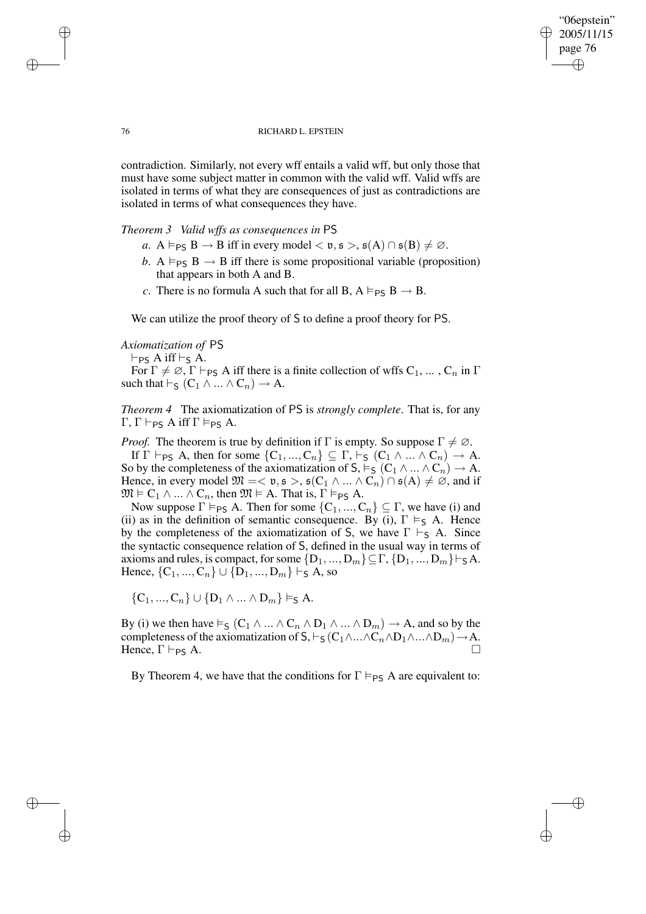"06epstein" 2005/11/15 page 76 ✐ ✐

✐

✐

#### 76 RICHARD L. EPSTEIN

contradiction. Similarly, not every wff entails a valid wff, but only those that must have some subject matter in common with the valid wff. Valid wffs are isolated in terms of what they are consequences of just as contradictions are isolated in terms of what consequences they have.

#### *Theorem 3 Valid wffs as consequences in* PS

- *a*.  $A \vDash_{PS} B \rightarrow B$  iff in every model  $\langle v, \mathfrak{s} \rangle, \mathfrak{s}(A) \cap \mathfrak{s}(B) \neq \emptyset$ .
- *b*. A  $\models$   $PS$  B  $\rightarrow$  B iff there is some propositional variable (proposition) that appears in both A and B.
- *c*. There is no formula A such that for all B,  $A \models_{PS} B \rightarrow B$ .

We can utilize the proof theory of S to define a proof theory for PS.

# *Axiomatization of* PS

 $\vdash_{PS} A$  iff  $\vdash_S A$ . For  $\Gamma \neq \emptyset$ ,  $\Gamma \vdash_{PS} A$  iff there is a finite collection of wffs  $C_1, \ldots, C_n$  in  $\Gamma$ such that  $\vdash_S (C_1 \land ... \land C_n) \to A$ .

*Theorem 4* The axiomatization of PS is *strongly complete*. That is, for any  $\Gamma, \Gamma \vdash_{\mathsf{PS}} A$  iff  $\Gamma \vDash_{\mathsf{PS}} A$ .

*Proof.* The theorem is true by definition if  $\Gamma$  is empty. So suppose  $\Gamma \neq \emptyset$ . If  $\Gamma \vdash_{PS} A$ , then for some  $\{C_1, ..., C_n\} \subseteq \Gamma$ ,  $\vdash_S (C_1 \land ... \land C_n) \to A$ . So by the completeness of the axiomatization of  $S, \vDash_S (C_1 \land ... \land C_n) \to A$ . Hence, in every model  $\mathfrak{M} = < \mathfrak{v}, \mathfrak{s} >, \mathfrak{s}(C_1 \wedge ... \wedge C_n) \cap \mathfrak{s}(A) \neq \emptyset$ , and if  $\mathfrak{M} \models C_1 \land ... \land C_n$ , then  $\mathfrak{M} \models A$ . That is,  $\Gamma \vDash_{PS} A$ .

Now suppose  $\Gamma \vDash_{PS} A$ . Then for some  $\{C_1, ..., C_n\} \subseteq \Gamma$ , we have (i) and (ii) as in the definition of semantic consequence. By (i),  $\Gamma \models_S A$ . Hence by the completeness of the axiomatization of S, we have  $\Gamma \vdash_S A$ . Since the syntactic consequence relation of S, defined in the usual way in terms of axioms and rules, is compact, for some  $\{D_1, ..., D_m\} \subseteq \Gamma$ ,  $\{D_1, ..., D_m\} \vdash_S A$ . Hence,  $\{C_1, ..., C_n\} \cup \{\overline{D}_1, ..., D_m\} \vdash_S A$ , so

 $\{C_1, ..., C_n\} \cup \{D_1 \wedge ... \wedge D_m\} \vDash_{\mathsf{S}} A.$ 

By (i) we then have  $\vDash_{\mathsf{S}} (C_1 \wedge ... \wedge C_n \wedge D_1 \wedge ... \wedge D_m) \rightarrow A$ , and so by the completeness of the axiomatization of  $S, \vdash_S (C_1 \land ... \land C_n \land D_1 \land ... \land D_m) \to A$ . Hence,  $\Gamma \vdash_{PS} A$ .

By Theorem 4, we have that the conditions for  $\Gamma \models_{PS} A$  are equivalent to:

✐

✐

✐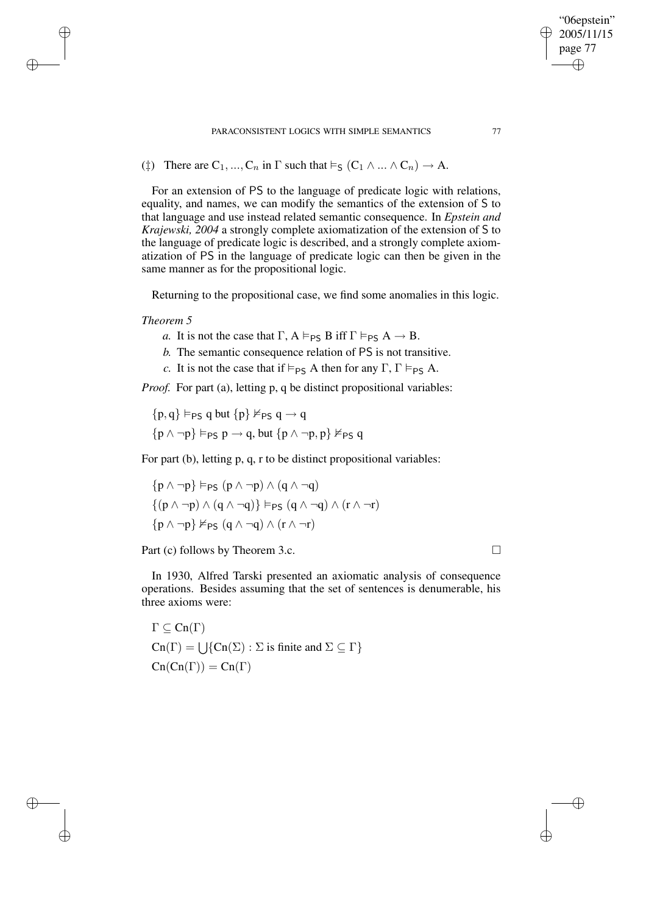PARACONSISTENT LOGICS WITH SIMPLE SEMANTICS 77

(‡) There are  $C_1, ..., C_n$  in  $\Gamma$  such that  $\vDash_S (C_1 \land ... \land C_n) \to A$ .

For an extension of PS to the language of predicate logic with relations, equality, and names, we can modify the semantics of the extension of S to that language and use instead related semantic consequence. In *Epstein and Krajewski, 2004* a strongly complete axiomatization of the extension of S to the language of predicate logic is described, and a strongly complete axiomatization of PS in the language of predicate logic can then be given in the same manner as for the propositional logic.

Returning to the propositional case, we find some anomalies in this logic.

# *Theorem 5*

✐

✐

✐

✐

- *a*. It is not the case that  $\Gamma$ ,  $A \vDash_{PS} B$  iff  $\Gamma \vDash_{PS} A \rightarrow B$ .
- *b.* The semantic consequence relation of PS is not transitive.
- *c*. It is not the case that if  $\models_{PS} A$  then for any  $\Gamma$ ,  $\Gamma \models_{PS} A$ .

*Proof.* For part (a), letting p, q be distinct propositional variables:

 $\{p, q\} \vDash_{PS} q$  but  $\{p\} \nvDash_{PS} q \rightarrow q$  $\{p \land \neg p\} \models_{PS} p \rightarrow q$ , but  $\{p \land \neg p, p\} \not\models_{PS} q$ 

For part (b), letting p, q, r to be distinct propositional variables:

$$
\begin{aligned} &\{p\wedge \neg p\} \vDash_{\mathsf{PS}} (p\wedge \neg p)\wedge (q\wedge \neg q)\\ &\{(p\wedge \neg p)\wedge (q\wedge \neg q)\} \vDash_{\mathsf{PS}} (q\wedge \neg q)\wedge (r\wedge \neg r)\\ &\{p\wedge \neg p\} \nvDash_{\mathsf{PS}} (q\wedge \neg q)\wedge (r\wedge \neg r)\end{aligned}
$$

Part (c) follows by Theorem 3.c. □

In 1930, Alfred Tarski presented an axiomatic analysis of consequence operations. Besides assuming that the set of sentences is denumerable, his three axioms were:

 $\Gamma \subset \operatorname{Cn}(\Gamma)$  $\text{Cn}(\Gamma) = \bigcup \{ \text{Cn}(\Sigma) : \Sigma \text{ is finite and } \Sigma \subseteq \Gamma \}$  $Cn(Cn(\Gamma)) = Cn(\Gamma)$ 

"06epstein" 2005/11/15 page 77

✐

✐

✐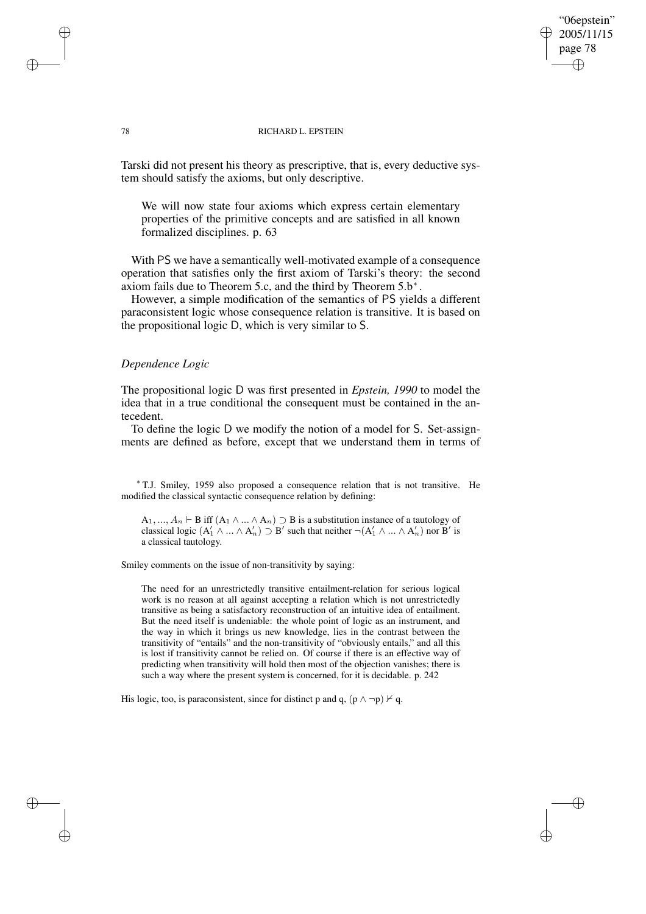#### 78 RICHARD L. EPSTEIN

"06epstein" 2005/11/15 page 78

✐

✐

✐

✐

Tarski did not present his theory as prescriptive, that is, every deductive system should satisfy the axioms, but only descriptive.

We will now state four axioms which express certain elementary properties of the primitive concepts and are satisfied in all known formalized disciplines. p. 63

With PS we have a semantically well-motivated example of a consequence operation that satisfies only the first axiom of Tarski's theory: the second axiom fails due to Theorem 5.c, and the third by Theorem  $5.b^*$ .

However, a simple modification of the semantics of PS yields a different paraconsistent logic whose consequence relation is transitive. It is based on the propositional logic D, which is very similar to S.

# *Dependence Logic*

The propositional logic D was first presented in *Epstein, 1990* to model the idea that in a true conditional the consequent must be contained in the antecedent.

To define the logic D we modify the notion of a model for S. Set-assignments are defined as before, except that we understand them in terms of

<sup>∗</sup> T.J. Smiley, <sup>1959</sup> also proposed <sup>a</sup> consequence relation that is not transitive. He modified the classical syntactic consequence relation by defining:

A<sub>1</sub>, ...,  $A_n \vdash B$  iff  $(A_1 \land ... \land A_n) \supset B$  is a substitution instance of a tautology of classical logic  $(A'_1 \wedge ... \wedge A'_n) \supseteq B'$  such that neither  $\neg(A'_1 \wedge ... \wedge A'_n)$  nor  $B'$  is a classical tautology.

Smiley comments on the issue of non-transitivity by saying:

The need for an unrestrictedly transitive entailment-relation for serious logical work is no reason at all against accepting a relation which is not unrestrictedly transitive as being a satisfactory reconstruction of an intuitive idea of entailment. But the need itself is undeniable: the whole point of logic as an instrument, and the way in which it brings us new knowledge, lies in the contrast between the transitivity of "entails" and the non-transitivity of "obviously entails," and all this is lost if transitivity cannot be relied on. Of course if there is an effective way of predicting when transitivity will hold then most of the objection vanishes; there is such a way where the present system is concerned, for it is decidable. p. 242

His logic, too, is paraconsistent, since for distinct p and q,  $(p \land \neg p) \nvdash q$ .

✐

✐

✐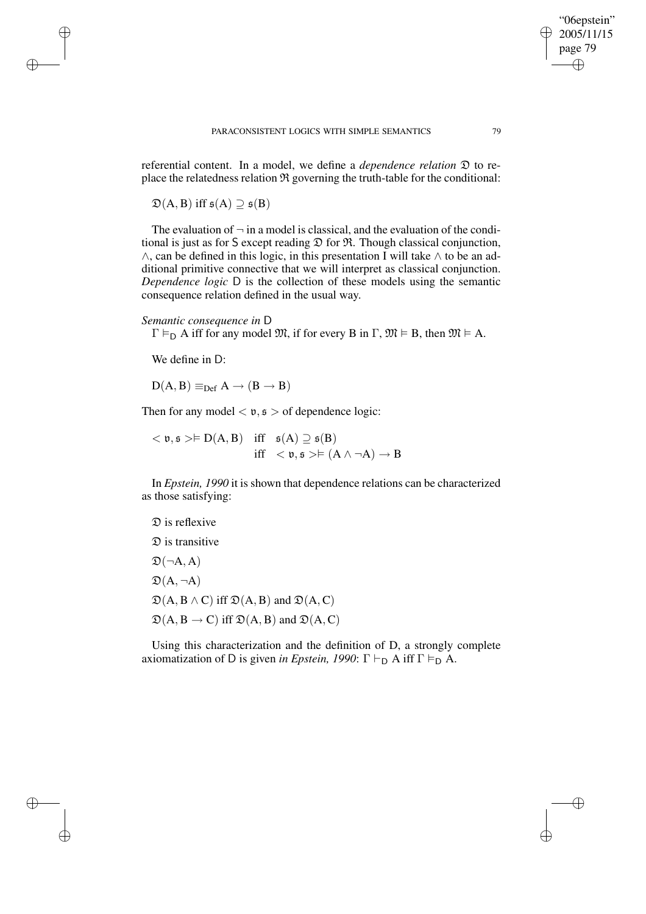referential content. In a model, we define a *dependence relation* D to replace the relatedness relation  $\Re$  governing the truth-table for the conditional:

 $\mathfrak{D}(A, B)$  iff  $\mathfrak{s}(A) \supseteq \mathfrak{s}(B)$ 

✐

✐

✐

✐

The evaluation of  $\neg$  in a model is classical, and the evaluation of the conditional is just as for  $S$  except reading  $\mathfrak D$  for  $\mathfrak R$ . Though classical conjunction, ∧, can be defined in this logic, in this presentation I will take ∧ to be an additional primitive connective that we will interpret as classical conjunction. *Dependence logic* D is the collection of these models using the semantic consequence relation defined in the usual way.

#### *Semantic consequence in* D

 $\Gamma \vDash_{\mathsf{D}} A$  iff for any model  $\mathfrak{M}$ , if for every B in  $\Gamma$ ,  $\mathfrak{M} \vDash B$ , then  $\mathfrak{M} \vDash A$ .

We define in D:

 $D(A, B) \equiv_{Def} A \rightarrow (B \rightarrow B)$ 

Then for any model  $\langle v, \mathfrak{s} \rangle$  of dependence logic:

 $<$  v, s >  $\models$  D(A, B) iff  $s(A) \supseteq s(B)$ iff  $\langle v, \mathfrak{s} \rangle \models (A \land \neg A) \rightarrow B$ 

In *Epstein, 1990* it is shown that dependence relations can be characterized as those satisfying:

# D is reflexive  $\mathfrak D$  is transitive

 $\mathfrak{D}(\neg A, A)$  $\mathfrak{D}(A, \neg A)$  $\mathfrak{D}(A, B \wedge C)$  iff  $\mathfrak{D}(A, B)$  and  $\mathfrak{D}(A, C)$  $\mathfrak{D}(A, B \rightarrow C)$  iff  $\mathfrak{D}(A, B)$  and  $\mathfrak{D}(A, C)$ 

Using this characterization and the definition of D, a strongly complete axiomatization of D is given *in Epstein,* 1990:  $\Gamma \vdash_{\mathsf{D}} A$  iff  $\Gamma \models_{\mathsf{D}} A$ .

"06epstein" 2005/11/15 page 79

✐

✐

✐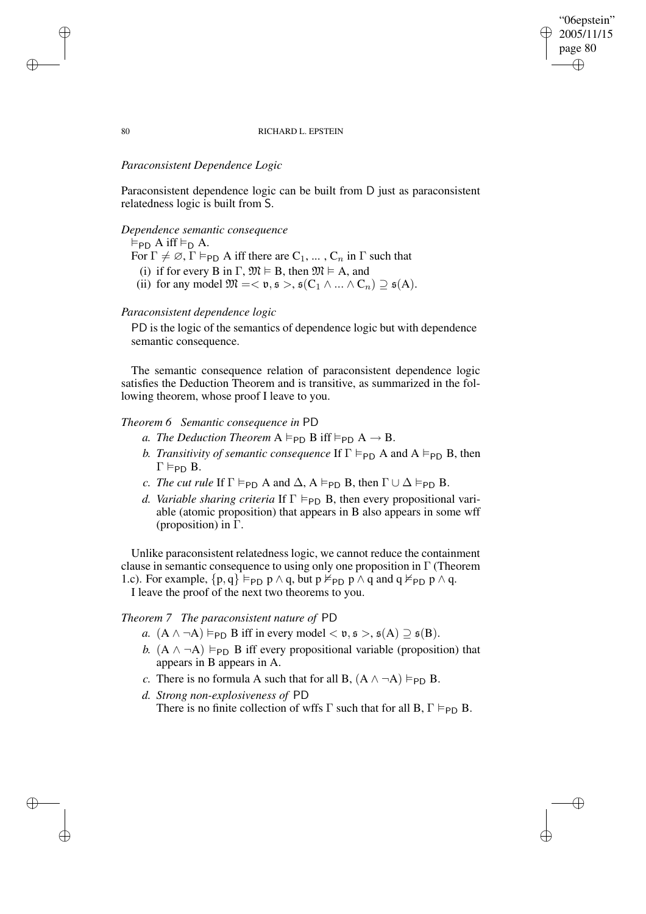#### "06epstein" 2005/11/15 page 80 ✐ ✐

✐

✐

#### 80 RICHARD L. EPSTEIN

# *Paraconsistent Dependence Logic*

Paraconsistent dependence logic can be built from D just as paraconsistent relatedness logic is built from S.

#### *Dependence semantic consequence*

 $\models$ PD A iff  $\models$ D A.

- For  $\Gamma \neq \emptyset$ ,  $\Gamma \vDash_{\mathsf{PD}} A$  iff there are  $C_1, \ldots, C_n$  in  $\Gamma$  such that
- (i) if for every B in  $\Gamma$ ,  $\mathfrak{M} \models B$ , then  $\mathfrak{M} \models A$ , and
- (ii) for any model  $\mathfrak{M} = < \mathfrak{v}, \mathfrak{s} >, \mathfrak{s}(C_1 \wedge ... \wedge C_n) \supseteq \mathfrak{s}(A)$ .

#### *Paraconsistent dependence logic*

PD is the logic of the semantics of dependence logic but with dependence semantic consequence.

The semantic consequence relation of paraconsistent dependence logic satisfies the Deduction Theorem and is transitive, as summarized in the following theorem, whose proof I leave to you.

# *Theorem 6 Semantic consequence in* PD

- *a. The Deduction Theorem*  $A \models_{\text{PD}} B$  iff  $\models_{\text{PD}} A \rightarrow B$ .
- *b. Transitivity of semantic consequence* If  $\Gamma \models_{\text{PD}} A$  and  $A \models_{\text{PD}} B$ , then  $\Gamma \vDash_{\text{PD}} B$ .
- *c. The cut rule* If  $\Gamma \models_{\text{PD}} A$  and  $\Delta$ ,  $A \models_{\text{PD}} B$ , then  $\Gamma \cup \Delta \models_{\text{PD}} B$ .
- *d. Variable sharing criteria* If  $\Gamma \models_{PD} B$ , then every propositional variable (atomic proposition) that appears in B also appears in some wff (proposition) in Γ.

Unlike paraconsistent relatedness logic, we cannot reduce the containment clause in semantic consequence to using only one proposition in  $\Gamma$  (Theorem 1.c). For example,  $\{p, q\} \vDash_{PD} p \wedge q$ , but  $p \nvDash_{PD} p \wedge q$  and  $q \nvDash_{PD} p \wedge q$ .

I leave the proof of the next two theorems to you.

# *Theorem 7 The paraconsistent nature of* PD

- *a.*  $(A \land \neg A) \vDash_{\text{PD}} B$  iff in every model  $\langle v, \mathfrak{s} \rangle$ ,  $\mathfrak{s}(A) \supseteq \mathfrak{s}(B)$ .
- *b.*  $(A \land \neg A) \models_{\text{PD}} B$  iff every propositional variable (proposition) that appears in B appears in A.
- *c*. There is no formula A such that for all B,  $(A \land \neg A) \vDash_{PD} B$ .
- *d. Strong non-explosiveness of* PD

There is no finite collection of wffs  $\Gamma$  such that for all B,  $\Gamma \vDash_{\text{PD}} B$ .

✐

✐

✐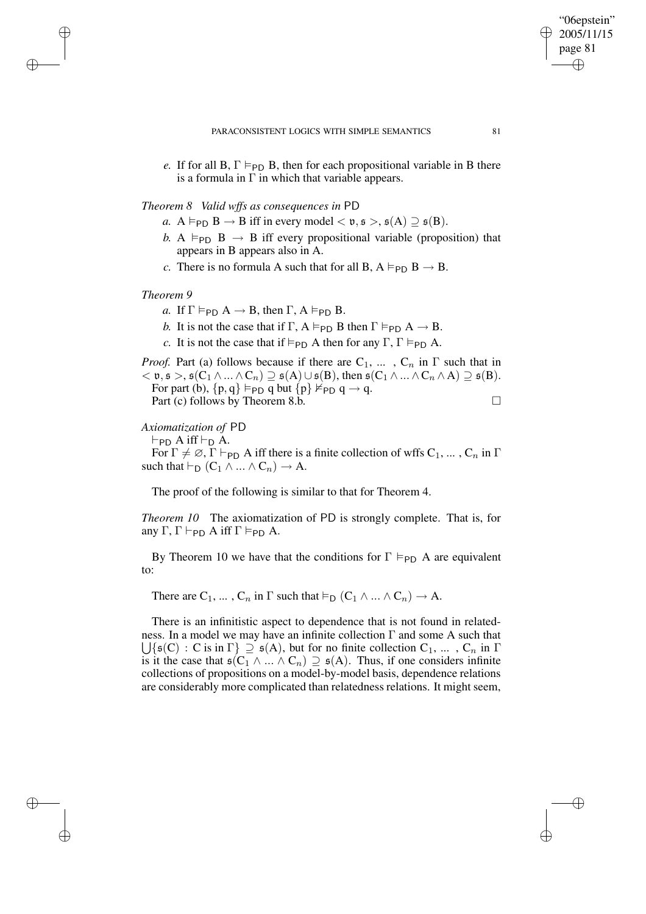✐

"06epstein" 2005/11/15 page 81

✐

✐

*e.* If for all B,  $\Gamma \models_{\text{PD}} B$ , then for each propositional variable in B there is a formula in  $\Gamma$  in which that variable appears.

# *Theorem 8 Valid wffs as consequences in* PD

- *a.* A  $\models$ <sub>PD</sub> B  $\rightarrow$  B iff in every model  $\lt$  v,  $\mathfrak{s}$  >,  $\mathfrak{s}(A) \supseteq \mathfrak{s}(B)$ .
- *b.* A  $\models$ <sub>PD</sub> B  $\rightarrow$  B iff every propositional variable (proposition) that appears in B appears also in A.
- *c*. There is no formula A such that for all B,  $A \models_{PD} B \rightarrow B$ .

#### *Theorem 9*

✐

✐

✐

✐

- *a.* If  $\Gamma \vDash_{\text{PD}} A \rightarrow B$ , then  $\Gamma$ ,  $A \vDash_{\text{PD}} B$ .
- *b*. It is not the case that if  $\Gamma$ ,  $A \vDash_{\text{PD}} B$  then  $\Gamma \vDash_{\text{PD}} A \rightarrow B$ .
- *c*. It is not the case that if  $\models_{PD} A$  then for any  $\Gamma$ ,  $\Gamma \models_{PD} A$ .

*Proof.* Part (a) follows because if there are  $C_1$ , ...,  $C_n$  in  $\Gamma$  such that in  $<\mathfrak{v}, \mathfrak{s}>, \mathfrak{s}(C_1 \wedge ... \wedge C_n) \supseteq \mathfrak{s}(A) \cup \mathfrak{s}(B),$  then  $\mathfrak{s}(C_1 \wedge ... \wedge C_n \wedge A) \supseteq \mathfrak{s}(B).$ For part (b),  $\{p, q\} \models_{PD} q$  but  $\{p\} \not\models_{PD} q \rightarrow q$ . Part (c) follows by Theorem 8.b. □

# *Axiomatization of* PD

 $\vdash_{\text{PD}} A$  iff  $\vdash_{\text{D}} A$ .

For  $\Gamma \neq \emptyset$ ,  $\Gamma \vdash_{\text{PD}} A$  iff there is a finite collection of wffs  $C_1, \ldots, C_n$  in  $\Gamma$ such that  $\vdash_D (C_1 \land ... \land C_n) \to A$ .

The proof of the following is similar to that for Theorem 4.

*Theorem 10* The axiomatization of PD is strongly complete. That is, for any  $\Gamma$ ,  $\Gamma \vdash_{\text{PD}} A$  iff  $\Gamma \vDash_{\text{PD}} A$ .

By Theorem 10 we have that the conditions for  $\Gamma \models_{\text{PD}} A$  are equivalent to:

There are  $C_1, \ldots, C_n$  in  $\Gamma$  such that  $\vDash_D (C_1 \wedge \ldots \wedge C_n) \to A$ .

There is an infinitistic aspect to dependence that is not found in related- $\bigcup \{ \mathfrak{s}(C) : C \text{ is in } \Gamma \} \supseteq \mathfrak{s}(A)$ , but for no finite collection  $C_1, \ldots, C_n$  in  $\Gamma$ ness. In a model we may have an infinite collection Γ and some A such that is it the case that  $\mathfrak{s}(C_1 \wedge ... \wedge C_n) \supseteq \mathfrak{s}(A)$ . Thus, if one considers infinite collections of propositions on a model-by-model basis, dependence relations are considerably more complicated than relatedness relations. It might seem,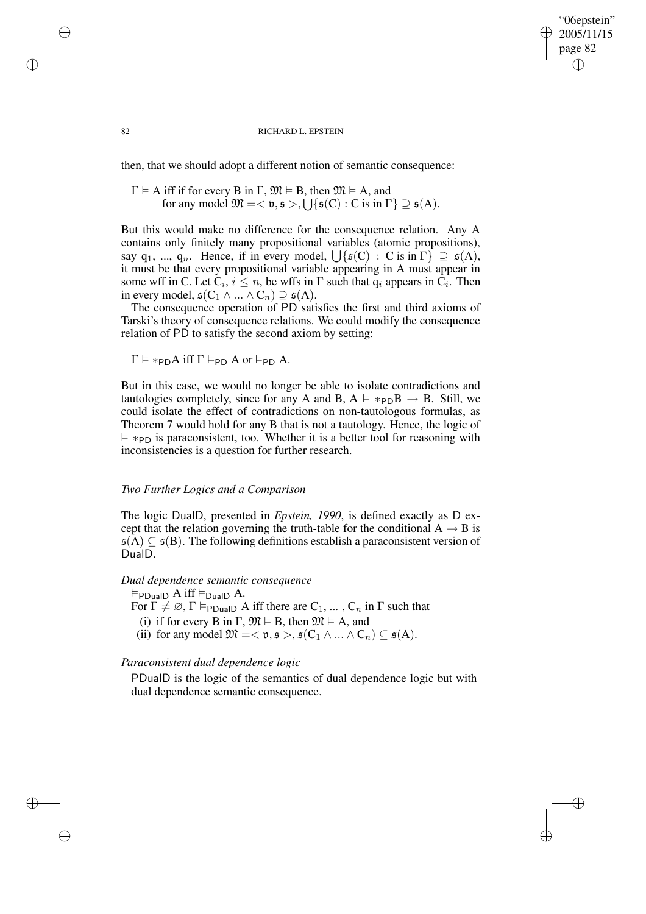"06epstein" 2005/11/15 page 82 ✐ ✐

✐

✐

#### 82 RICHARD L. EPSTEIN

then, that we should adopt a different notion of semantic consequence:

 $\Gamma \models A$  iff if for every B in  $\Gamma$ ,  $\mathfrak{M} \models B$ , then  $\mathfrak{M} \models A$ , and for any model  $\mathfrak{M} = \langle \mathfrak{v}, \mathfrak{s} \rangle, \bigcup \{ \mathfrak{s}(C) : C \text{ is in } \Gamma \} \supseteq \mathfrak{s}(A).$ 

But this would make no difference for the consequence relation. Any A contains only finitely many propositional variables (atomic propositions), say q<sub>1</sub>, ..., q<sub>n</sub>. Hence, if in every model,  $\bigcup \{ \mathfrak{s}(C) : C \text{ is in } \Gamma \} \supseteq \mathfrak{s}(A)$ , it must be that every propositional variable appearing in A must appear in some wff in C. Let  $C_i$ ,  $i \leq n$ , be wffs in  $\Gamma$  such that  $q_i$  appears in  $C_i$ . Then in every model,  $\mathfrak{s}(C_1 \wedge ... \wedge C_n) \supseteq \mathfrak{s}(A)$ .

The consequence operation of PD satisfies the first and third axioms of Tarski's theory of consequence relations. We could modify the consequence relation of PD to satisfy the second axiom by setting:

$$
\Gamma \vDash *_{\mathsf{PD}} A \text{ iff } \Gamma \vDash_{\mathsf{PD}} A \text{ or } \vDash_{\mathsf{PD}} A.
$$

But in this case, we would no longer be able to isolate contradictions and tautologies completely, since for any A and B,  $A \models *_{\text{PD}}B \rightarrow B$ . Still, we could isolate the effect of contradictions on non-tautologous formulas, as Theorem 7 would hold for any B that is not a tautology. Hence, the logic of  $\models *_{PD}$  is paraconsistent, too. Whether it is a better tool for reasoning with inconsistencies is a question for further research.

#### *Two Further Logics and a Comparison*

The logic DualD, presented in *Epstein, 1990*, is defined exactly as D except that the relation governing the truth-table for the conditional  $A \rightarrow B$  is  $\mathfrak{s}(A) \subseteq \mathfrak{s}(B)$ . The following definitions establish a paraconsistent version of DualD.

#### *Dual dependence semantic consequence*

 $\vDash_{\text{PDualD}} A$  iff  $\vDash_{\text{DualD}} A$ .

For  $\Gamma \neq \emptyset$ ,  $\Gamma \models_{\text{PDualD}} A$  iff there are  $C_1, \ldots, C_n$  in  $\Gamma$  such that

(i) if for every B in  $\Gamma$ ,  $\mathfrak{M} \models B$ , then  $\mathfrak{M} \models A$ , and

(ii) for any model  $\mathfrak{M} = < \mathfrak{v}, \mathfrak{s} >, \mathfrak{s}(C_1 \wedge ... \wedge C_n) \subseteq \mathfrak{s}(A)$ .

#### *Paraconsistent dual dependence logic*

PDualD is the logic of the semantics of dual dependence logic but with dual dependence semantic consequence.

✐

✐

✐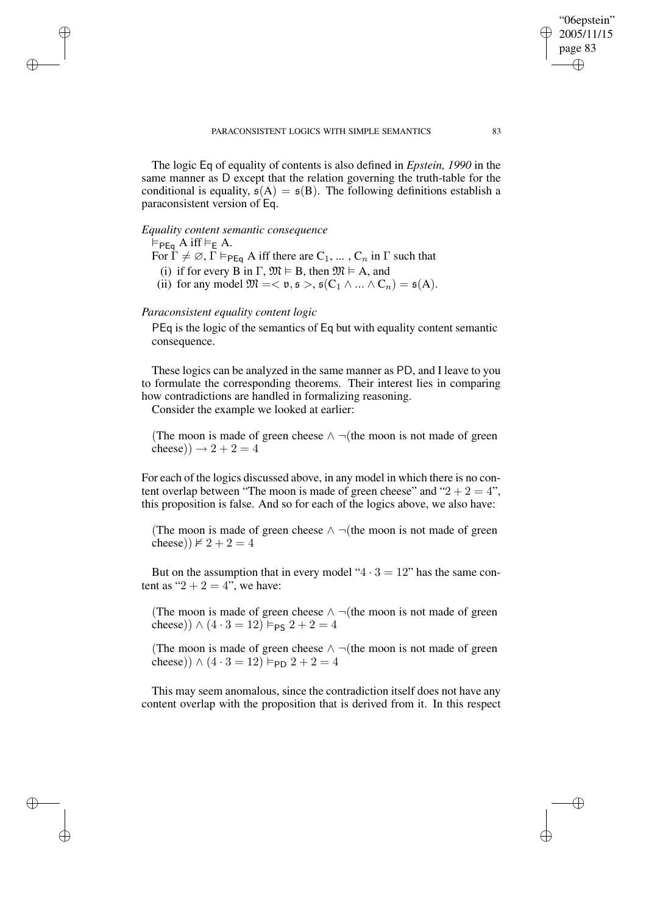The logic Eq of equality of contents is also defined in *Epstein, 1990* in the same manner as D except that the relation governing the truth-table for the conditional is equality,  $\mathfrak{s}(A) = \mathfrak{s}(B)$ . The following definitions establish a paraconsistent version of Eq.

#### *Equality content semantic consequence*

 $\vDash_{\mathsf{PEq}} A$  iff  $\vDash_{\mathsf{E}} A$ .

✐

✐

✐

✐

- For  $\Gamma \neq \emptyset$ ,  $\Gamma \vDash_{\mathsf{PEq}} A$  iff there are  $C_1, \ldots, C_n$  in  $\Gamma$  such that
	- (i) if for every B in  $\Gamma$ ,  $\mathfrak{M} \models B$ , then  $\mathfrak{M} \models A$ , and
- (ii) for any model  $\mathfrak{M} = \langle \mathfrak{v}, \mathfrak{s} \rangle, \mathfrak{s}(C_1 \wedge ... \wedge C_n) = \mathfrak{s}(A).$

#### *Paraconsistent equality content logic*

PEq is the logic of the semantics of Eq but with equality content semantic consequence.

These logics can be analyzed in the same manner as PD, and I leave to you to formulate the corresponding theorems. Their interest lies in comparing how contradictions are handled in formalizing reasoning.

Consider the example we looked at earlier:

(The moon is made of green cheese  $\land \neg$ (the moon is not made of green cheese))  $\rightarrow 2 + 2 = 4$ 

For each of the logics discussed above, in any model in which there is no content overlap between "The moon is made of green cheese" and " $2 + 2 = 4$ ", this proposition is false. And so for each of the logics above, we also have:

(The moon is made of green cheese  $\wedge \neg$  (the moon is not made of green cheese))  $\nvdash 2 + 2 = 4$ 

But on the assumption that in every model " $4 \cdot 3 = 12$ " has the same content as " $2 + 2 = 4$ ", we have:

(The moon is made of green cheese  $\land \neg$ (the moon is not made of green cheese)) ∧  $(4 \cdot 3 = 12)$  ⊨<sub>PS</sub>  $2 + 2 = 4$ 

(The moon is made of green cheese  $\land \neg$ (the moon is not made of green cheese)) ∧  $(4 \cdot 3 = 12)$   $\models$  PD  $2 + 2 = 4$ 

This may seem anomalous, since the contradiction itself does not have any content overlap with the proposition that is derived from it. In this respect

"06epstein" 2005/11/15 page 83

✐

✐

✐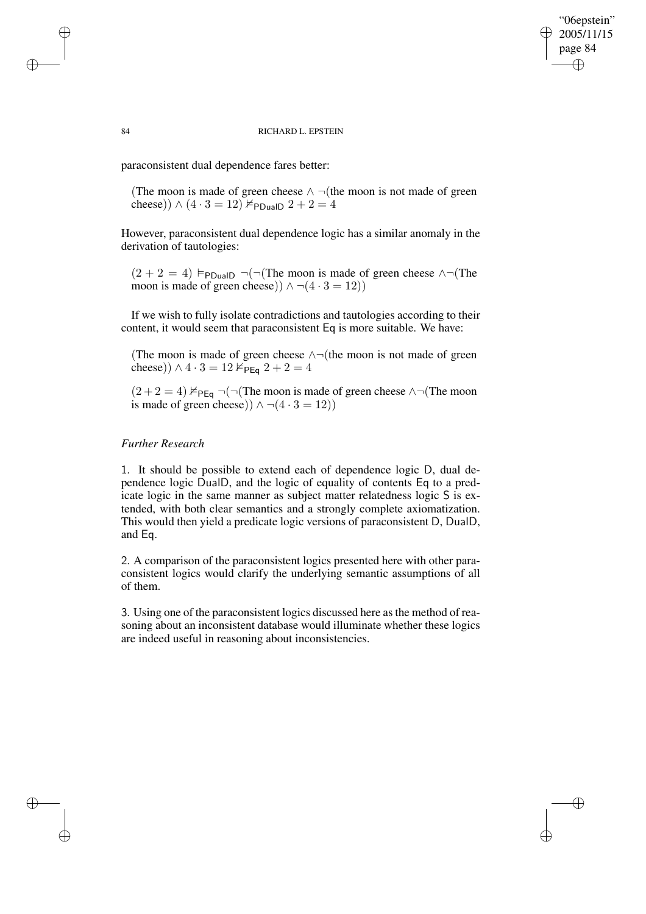#### "06epstein" 2005/11/15 page 84 ✐ ✐

✐

✐

#### 84 RICHARD L. EPSTEIN

paraconsistent dual dependence fares better:

(The moon is made of green cheese  $\land \neg$ (the moon is not made of green cheese))  $\wedge (4 \cdot 3 = 12)$   $\nvdash_{\text{PDualD}} 2 + 2 = 4$ 

However, paraconsistent dual dependence logic has a similar anomaly in the derivation of tautologies:

 $(2 + 2 = 4)$  F<sub>PDualD</sub> ¬(¬(The moon is made of green cheese  $\land \neg$ (The moon is made of green cheese))  $\land \neg (4 \cdot 3 = 12)$ 

If we wish to fully isolate contradictions and tautologies according to their content, it would seem that paraconsistent Eq is more suitable. We have:

(The moon is made of green cheese  $\land \neg$ (the moon is not made of green cheese))  $\wedge$  4 · 3 = 12  $\check{\nvdash}_{\textsf{PEq}}$  2 + 2 = 4

 $(2 + 2 = 4)$   $\nvdash_{\mathsf{PEq}} \neg(\neg(\mathsf{The\ moon\ is\ made\ of\ green\ cheese\land\neg(\mathsf{The\ moon\$ is made of green cheese))  $\land \neg (4 \cdot 3 = 12)$ )

# *Further Research*

1. It should be possible to extend each of dependence logic D, dual dependence logic DualD, and the logic of equality of contents Eq to a predicate logic in the same manner as subject matter relatedness logic S is extended, with both clear semantics and a strongly complete axiomatization. This would then yield a predicate logic versions of paraconsistent D, DualD, and Eq.

2. A comparison of the paraconsistent logics presented here with other paraconsistent logics would clarify the underlying semantic assumptions of all of them.

3. Using one of the paraconsistent logics discussed here asthe method of reasoning about an inconsistent database would illuminate whether these logics are indeed useful in reasoning about inconsistencies.

✐

✐

✐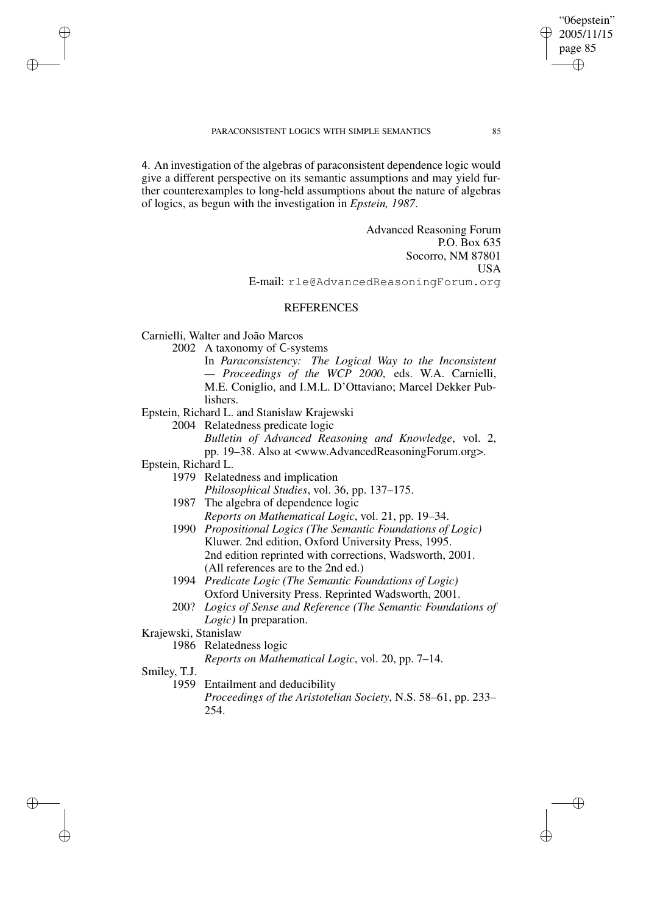#### PARACONSISTENT LOGICS WITH SIMPLE SEMANTICS 85

4. An investigation of the algebras of paraconsistent dependence logic would give a different perspective on its semantic assumptions and may yield further counterexamples to long-held assumptions about the nature of algebras of logics, as begun with the investigation in *Epstein, 1987*.

> Advanced Reasoning Forum P.O. Box 635 Socorro, NM 87801 USA E-mail: rle@AdvancedReasoningForum.org

"06epstein" 2005/11/15 page 85

✐

✐

✐

✐

#### **REFERENCES**

Carnielli, Walter and João Marcos

2002 A taxonomy of C-systems

In *Paraconsistency: The Logical Way to the Inconsistent — Proceedings of the WCP 2000*, eds. W.A. Carnielli, M.E. Coniglio, and I.M.L. D'Ottaviano; Marcel Dekker Publishers.

Epstein, Richard L. and Stanislaw Krajewski

2004 Relatedness predicate logic

*Bulletin of Advanced Reasoning and Knowledge*, vol. 2, pp. 19–38. Also at <www.AdvancedReasoningForum.org>.

Epstein, Richard L.

✐

✐

✐

✐

- 1979 Relatedness and implication
- *Philosophical Studies*, vol. 36, pp. 137–175. 1987 The algebra of dependence logic
- *Reports on Mathematical Logic*, vol. 21, pp. 19–34.
- 1990 *Propositional Logics (The Semantic Foundations of Logic)* Kluwer. 2nd edition, Oxford University Press, 1995. 2nd edition reprinted with corrections, Wadsworth, 2001. (All references are to the 2nd ed.)
- 1994 *Predicate Logic (The Semantic Foundations of Logic)* Oxford University Press. Reprinted Wadsworth, 2001.
- 200? *Logics of Sense and Reference (The Semantic Foundations of Logic)* In preparation.
- Krajewski, Stanislaw

1986 Relatedness logic

*Reports on Mathematical Logic*, vol. 20, pp. 7–14.

Smiley, T.J.

1959 Entailment and deducibility *Proceedings of the Aristotelian Society*, N.S. 58–61, pp. 233– 254.